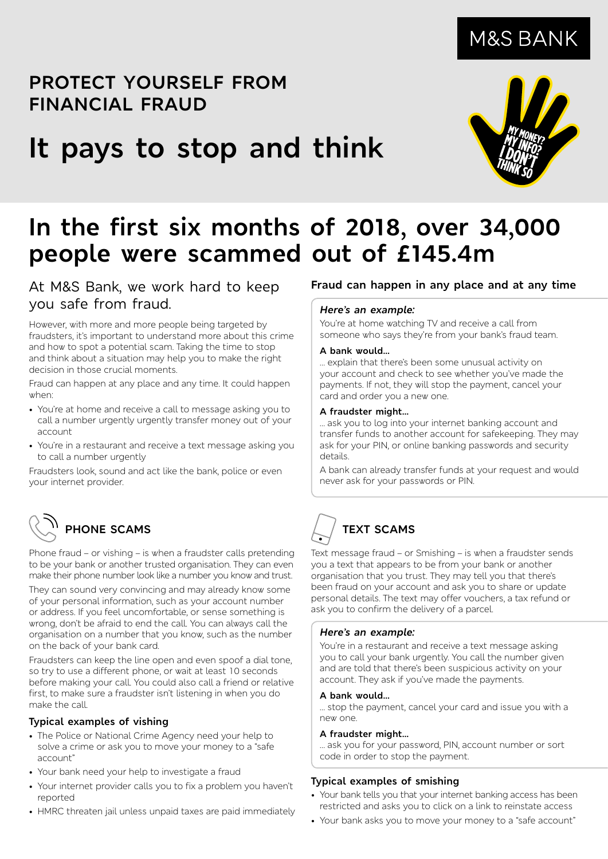## **PROTECT YOURSELF FROM FINANCIAL FRAUD**

# **It pays to stop and think**



## **In the first six months of 2018, over 34,000 people were scammed out of £145.4m**

**At M&S Bank, we work hard to keep you safe from fraud.**

However, with more and more people being targeted by fraudsters, it's important to understand more about this crime and how to spot a potential scam. Taking the time to stop and think about a situation may help you to make the right decision in those crucial moments.

Fraud can happen at any place and any time. It could happen when:

- You're at home and receive a call to message asking you to call a number urgently urgently transfer money out of your account
- You're in a restaurant and receive a text message asking you to call a number urgently

Fraudsters look, sound and act like the bank, police or even your internet provider.

## **PHONE SCAMS**

Phone fraud – or vishing – is when a fraudster calls pretending to be your bank or another trusted organisation. They can even make their phone number look like a number you know and trust.

They can sound very convincing and may already know some of your personal information, such as your account number or address. If you feel uncomfortable, or sense something is wrong, don't be afraid to end the call. You can always call the organisation on a number that you know, such as the number on the back of your bank card.

Fraudsters can keep the line open and even spoof a dial tone, so try to use a different phone, or wait at least 10 seconds before making your call. You could also call a friend or relative first, to make sure a fraudster isn't listening in when you do make the call.

#### **Typical examples of vishing**

- The Police or National Crime Agency need your help to solve a crime or ask you to move your money to a "safe account"
- Your bank need your help to investigate a fraud
- Your internet provider calls you to fix a problem you haven't reported
- HMRC threaten jail unless unpaid taxes are paid immediately

### **Fraud can happen in any place and at any time**

#### *Here's an example:*

You're at home watching TV and receive a call from someone who says they're from your bank's fraud team.

#### **A bank would…**

… explain that there's been some unusual activity on your account and check to see whether you've made the payments. If not, they will stop the payment, cancel your card and order you a new one.

#### **A fraudster might…**

… ask you to log into your internet banking account and transfer funds to another account for safekeeping. They may ask for your PIN, or online banking passwords and security details.

A bank can already transfer funds at your request and would never ask for your passwords or PIN.

# **TEXT SCAMS**

Text message fraud – or Smishing – is when a fraudster sends you a text that appears to be from your bank or another organisation that you trust. They may tell you that there's been fraud on your account and ask you to share or update personal details. The text may offer vouchers, a tax refund or ask you to confirm the delivery of a parcel.

#### *Here's an example:*

You're in a restaurant and receive a text message asking you to call your bank urgently. You call the number given and are told that there's been suspicious activity on your account. They ask if you've made the payments.

#### **A bank would…**

… stop the payment, cancel your card and issue you with a new one.

#### **A fraudster might…**

… ask you for your password, PIN, account number or sort code in order to stop the payment.

#### **Typical examples of smishing**

- Your bank tells you that your internet banking access has been restricted and asks you to click on a link to reinstate access
- Your bank asks you to move your money to a "safe account"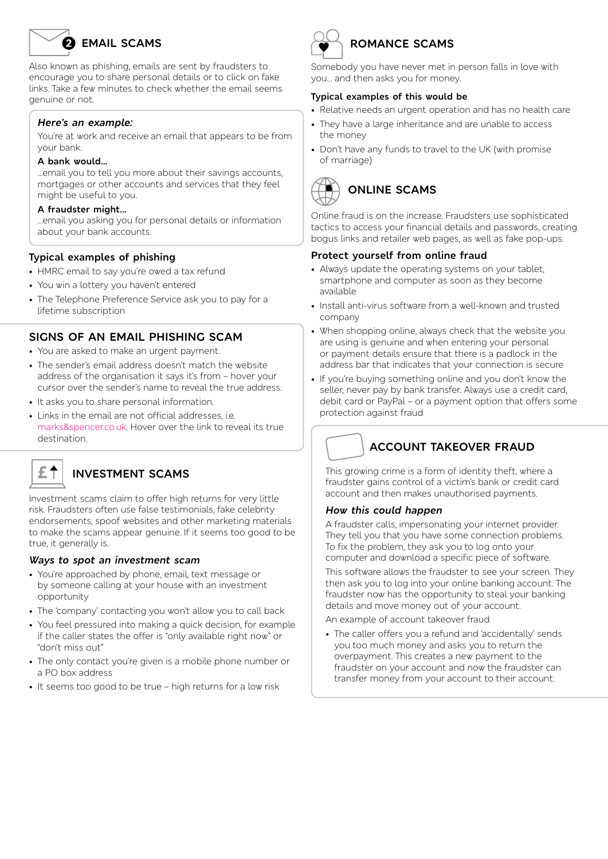## **EMAIL SCAMS**

Also known as phishing, emails are sent by fraudsters to encourage you to share personal details or to click on fake links. Take a few minutes to check whether the email seems genuine or not.

#### *Here's an example:*

You're at work and receive an email that appears to be from your bank.

#### **A bank would…**

…email you to tell you more about their savings accounts, mortgages or other accounts and services that they feel might be useful to you.

#### **A fraudster might…**

…email you asking you for personal details or information about your bank accounts.

#### **Typical examples of phishing**

- HMRC email to say you're owed a tax refund
- You win a lottery you haven't entered
- The Telephone Preference Service ask you to pay for a lifetime subscription

#### **SIGNS OF AN EMAIL PHISHING SCAM**

- You are asked to make an urgent payment.
- The sender's email address doesn't match the website address of the organisation it says it's from – hover your cursor over the sender's name to reveal the true address.
- It asks you to share personal information.
- Links in the email are not official addresses, i.e. marks&spencer.co.uk. Hover over the link to reveal its true destination.



### **£ INVESTMENT SCAMS**

Investment scams claim to offer high returns for very little risk. Fraudsters often use false testimonials, fake celebrity endorsements, spoof websites and other marketing materials to make the scams appear genuine. If it seems too good to be true, it generally is.

#### *Ways to spot an investment scam*

- You're approached by phone, email, text message or by someone calling at your house with an investment opportunity
- The 'company' contacting you won't allow you to call back
- You feel pressured into making a quick decision, for example if the caller states the offer is "only available right now" or "don't miss out"
- The only contact you're given is a mobile phone number or a PO box address
- It seems too good to be true high returns for a low risk



### **ROMANCE SCAMS**

Somebody you have never met in person falls in love with you… and then asks you for money.

#### **Typical examples of this would be**

- Relative needs an urgent operation and has no health care
- They have a large inheritance and are unable to access the money
- Don't have any funds to travel to the UK (with promise of marriage)



Online fraud is on the increase. Fraudsters use sophisticated tactics to access your financial details and passwords, creating bogus links and retailer web pages, as well as fake pop-ups.

#### **Protect yourself from online fraud**

- Always update the operating systems on your tablet, smartphone and computer as soon as they become available
- Install anti-virus software from a well-known and trusted company
- When shopping online, always check that the website you are using is genuine and when entering your personal or payment details ensure that there is a padlock in the address bar that indicates that your connection is secure
- If you're buying something online and you don't know the seller, never pay by bank transfer. Always use a credit card, debit card or PayPal – or a payment option that offers some protection against fraud

### **ACCOUNT TAKEOVER FRAUD**

This growing crime is a form of identity theft, where a fraudster gains control of a victim's bank or credit card account and then makes unauthorised payments.

#### *How this could happen*

A fraudster calls, impersonating your internet provider. They tell you that you have some connection problems. To fix the problem, they ask you to log onto your computer and download a specific piece of software.

This software allows the fraudster to see your screen. They then ask you to log into your online banking account. The fraudster now has the opportunity to steal your banking details and move money out of your account.

An example of account takeover fraud

• The caller offers you a refund and 'accidentally' sends you too much money and asks you to return the overpayment. This creates a new payment to the fraudster on your account and now the fraudster can transfer money from your account to their account.